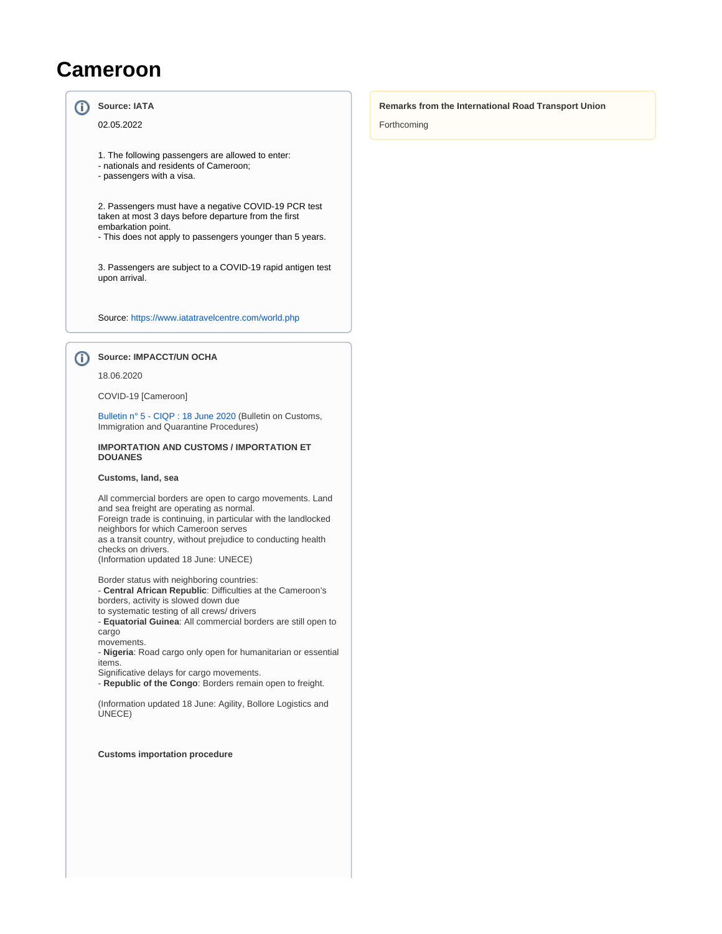# **Cameroon**

#### ത **Source: IATA**

02.05.2022

- 1. The following passengers are allowed to enter:
- nationals and residents of Cameroon;
- passengers with a visa.

2. Passengers must have a negative COVID-19 PCR test taken at most 3 days before departure from the first embarkation point.

- This does not apply to passengers younger than 5 years.

3. Passengers are subject to a COVID-19 rapid antigen test upon arrival.

Source:<https://www.iatatravelcentre.com/world.php>

**Source: IMPACCT/UN OCHA**

#### 18.06.2020

⋒

COVID-19 [Cameroon]

[Bulletin n° 5 - CIQP : 18 June 2020](https://wiki.unece.org/download/attachments/101548945/Cameroon%20-%20COVID-19%20-%20CIQP%20Bulletin%205.pdf?version=1&modificationDate=1594992976050&api=v2) (Bulletin on Customs, Immigration and Quarantine Procedures)

### **IMPORTATION AND CUSTOMS / IMPORTATION ET DOUANES**

#### **Customs, land, sea**

All commercial borders are open to cargo movements. Land and sea freight are operating as normal. Foreign trade is continuing, in particular with the landlocked neighbors for which Cameroon serves as a transit country, without prejudice to conducting health checks on drivers. (Information updated 18 June: UNECE)

Border status with neighboring countries: - **Central African Republic**: Difficulties at the Cameroon's

borders, activity is slowed down due to systematic testing of all crews/ drivers

- **Equatorial Guinea**: All commercial borders are still open to cargo

movements.

- **Nigeria**: Road cargo only open for humanitarian or essential items.

Significative delays for cargo movements.

- **Republic of the Congo**: Borders remain open to freight.

(Information updated 18 June: Agility, Bollore Logistics and UNECE)

**Customs importation procedure**

#### **Remarks from the International Road Transport Union**

Forthcoming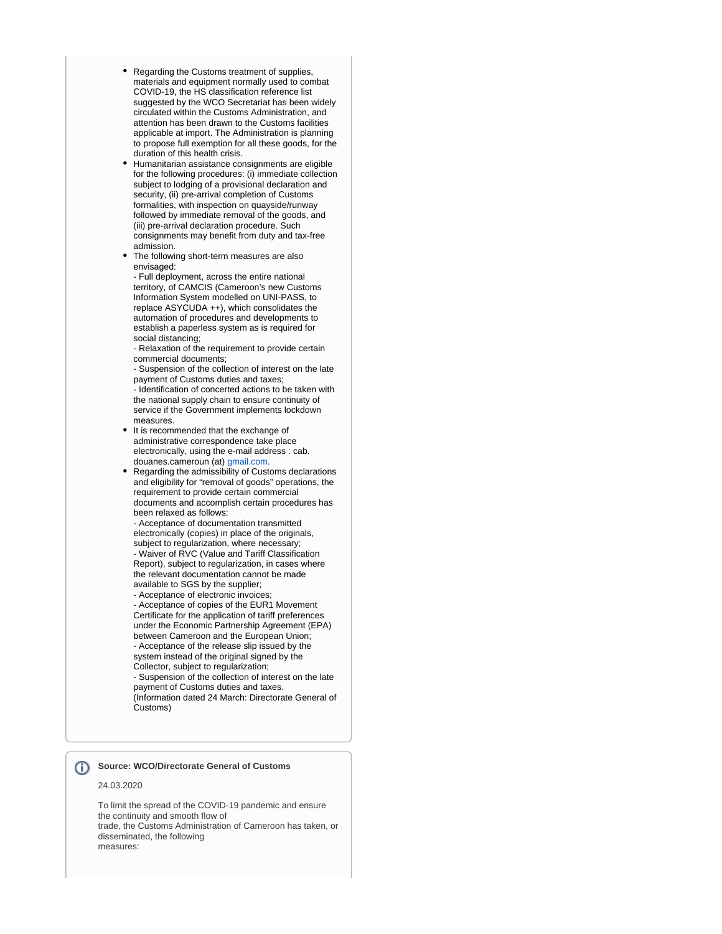- Regarding the Customs treatment of supplies, materials and equipment normally used to combat COVID-19, the HS classification reference list suggested by the WCO Secretariat has been widely circulated within the Customs Administration, and attention has been drawn to the Customs facilities applicable at import. The Administration is planning to propose full exemption for all these goods, for the duration of this health crisis.
- Humanitarian assistance consignments are eligible for the following procedures: (i) immediate collection subject to lodging of a provisional declaration and security, (ii) pre-arrival completion of Customs formalities, with inspection on quayside/runway followed by immediate removal of the goods, and (iii) pre-arrival declaration procedure. Such consignments may benefit from duty and tax-free admission.
- The following short-term measures are also envisaged:

- Full deployment, across the entire national territory, of CAMCIS (Cameroon's new Customs Information System modelled on UNI-PASS, to replace ASYCUDA ++), which consolidates the automation of procedures and developments to establish a paperless system as is required for social distancing;

- Relaxation of the requirement to provide certain commercial documents;

- Suspension of the collection of interest on the late payment of Customs duties and taxes;

- Identification of concerted actions to be taken with the national supply chain to ensure continuity of service if the Government implements lockdown measures.

It is recommended that the exchange of administrative correspondence take place electronically, using the e-mail address : cab. douanes.cameroun (at) [gmail.com](http://gmail.com).

Regarding the admissibility of Customs declarations and eligibility for "removal of goods" operations, the requirement to provide certain commercial documents and accomplish certain procedures has been relaxed as follows:

- Acceptance of documentation transmitted electronically (copies) in place of the originals, subject to regularization, where necessary; - Waiver of RVC (Value and Tariff Classification Report), subject to regularization, in cases where the relevant documentation cannot be made available to SGS by the supplier;

- Acceptance of electronic invoices;

- Acceptance of copies of the EUR1 Movement Certificate for the application of tariff preferences under the Economic Partnership Agreement (EPA) between Cameroon and the European Union; - Acceptance of the release slip issued by the system instead of the original signed by the Collector, subject to regularization;

- Suspension of the collection of interest on the late payment of Customs duties and taxes. (Information dated 24 March: Directorate General of Customs)

## **Source: WCO/Directorate General of Customs**

#### 24.03.2020

To limit the spread of the COVID-19 pandemic and ensure the continuity and smooth flow of trade, the Customs Administration of Cameroon has taken, or disseminated, the following measures: